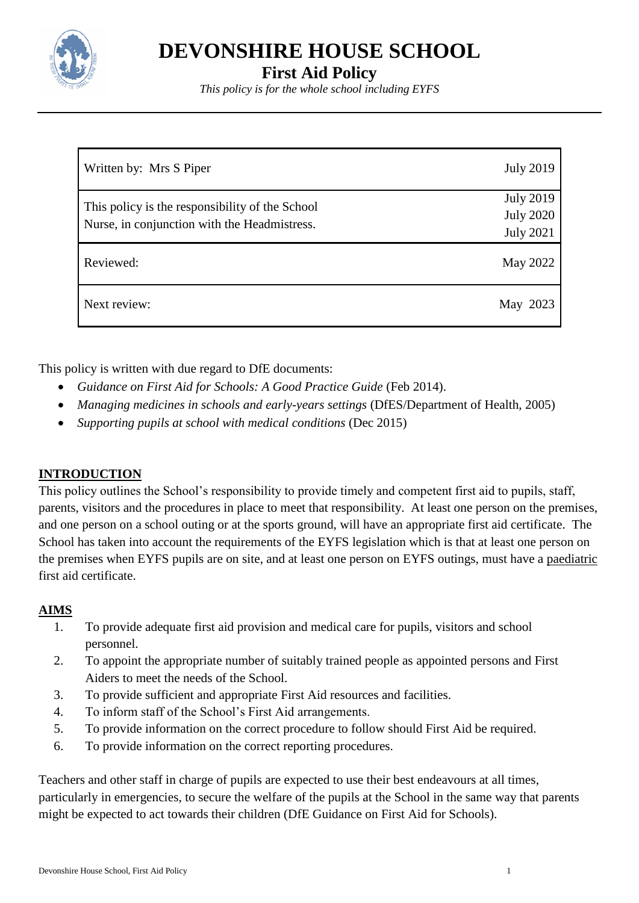

**DEVONSHIRE HOUSE SCHOOL**

**First Aid Policy**

*This policy is for the whole school including EYFS*

| Written by: Mrs S Piper                                                                         | <b>July 2019</b>                                         |
|-------------------------------------------------------------------------------------------------|----------------------------------------------------------|
| This policy is the responsibility of the School<br>Nurse, in conjunction with the Headmistress. | <b>July 2019</b><br><b>July 2020</b><br><b>July 2021</b> |
| Reviewed:                                                                                       | May 2022                                                 |
| Next review:                                                                                    | May 2023                                                 |

This policy is written with due regard to DfE documents:

- *Guidance on First Aid for Schools: A Good Practice Guide* (Feb 2014).
- *Managing medicines in schools and early-years settings* (DfES/Department of Health, 2005)
- *Supporting pupils at school with medical conditions* (Dec 2015)

# **INTRODUCTION**

This policy outlines the School's responsibility to provide timely and competent first aid to pupils, staff, parents, visitors and the procedures in place to meet that responsibility. At least one person on the premises, and one person on a school outing or at the sports ground, will have an appropriate first aid certificate. The School has taken into account the requirements of the EYFS legislation which is that at least one person on the premises when EYFS pupils are on site, and at least one person on EYFS outings, must have a paediatric first aid certificate.

# **AIMS**

- 1. To provide adequate first aid provision and medical care for pupils, visitors and school personnel.
- 2. To appoint the appropriate number of suitably trained people as appointed persons and First Aiders to meet the needs of the School.
- 3. To provide sufficient and appropriate First Aid resources and facilities.
- 4. To inform staff of the School's First Aid arrangements.
- 5. To provide information on the correct procedure to follow should First Aid be required.
- 6. To provide information on the correct reporting procedures.

Teachers and other staff in charge of pupils are expected to use their best endeavours at all times, particularly in emergencies, to secure the welfare of the pupils at the School in the same way that parents might be expected to act towards their children (DfE Guidance on First Aid for Schools).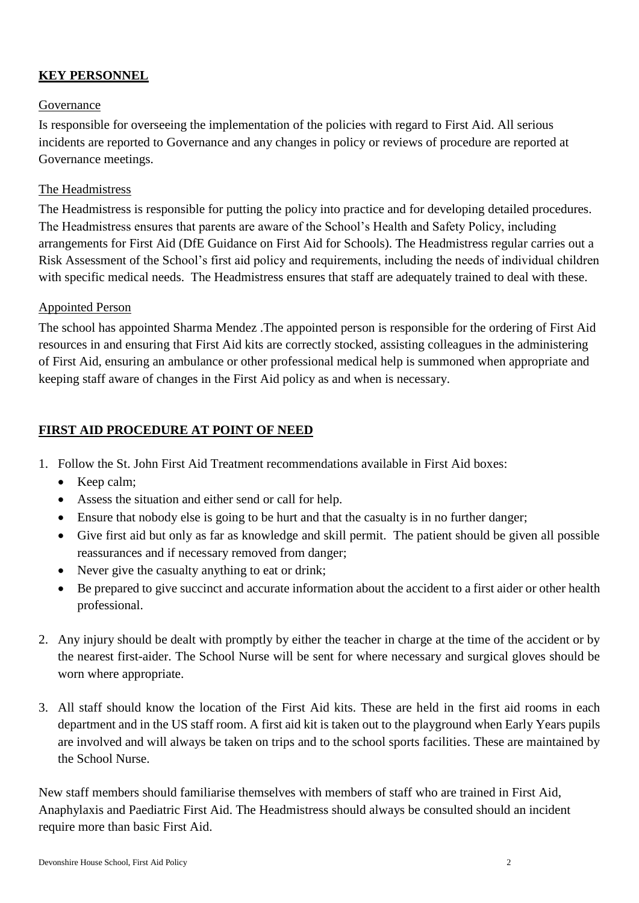# **KEY PERSONNEL**

## Governance

Is responsible for overseeing the implementation of the policies with regard to First Aid. All serious incidents are reported to Governance and any changes in policy or reviews of procedure are reported at Governance meetings.

#### The Headmistress

The Headmistress is responsible for putting the policy into practice and for developing detailed procedures. The Headmistress ensures that parents are aware of the School's Health and Safety Policy, including arrangements for First Aid (DfE Guidance on First Aid for Schools). The Headmistress regular carries out a Risk Assessment of the School's first aid policy and requirements, including the needs of individual children with specific medical needs. The Headmistress ensures that staff are adequately trained to deal with these.

#### Appointed Person

The school has appointed Sharma Mendez .The appointed person is responsible for the ordering of First Aid resources in and ensuring that First Aid kits are correctly stocked, assisting colleagues in the administering of First Aid, ensuring an ambulance or other professional medical help is summoned when appropriate and keeping staff aware of changes in the First Aid policy as and when is necessary.

## **FIRST AID PROCEDURE AT POINT OF NEED**

- 1. Follow the St. John First Aid Treatment recommendations available in First Aid boxes:
	- Keep calm;
	- Assess the situation and either send or call for help.
	- Ensure that nobody else is going to be hurt and that the casualty is in no further danger;
	- Give first aid but only as far as knowledge and skill permit. The patient should be given all possible reassurances and if necessary removed from danger;
	- Never give the casualty anything to eat or drink;
	- Be prepared to give succinct and accurate information about the accident to a first aider or other health professional.
- 2. Any injury should be dealt with promptly by either the teacher in charge at the time of the accident or by the nearest first-aider. The School Nurse will be sent for where necessary and surgical gloves should be worn where appropriate.
- 3. All staff should know the location of the First Aid kits. These are held in the first aid rooms in each department and in the US staff room. A first aid kit is taken out to the playground when Early Years pupils are involved and will always be taken on trips and to the school sports facilities. These are maintained by the School Nurse.

New staff members should familiarise themselves with members of staff who are trained in First Aid, Anaphylaxis and Paediatric First Aid. The Headmistress should always be consulted should an incident require more than basic First Aid.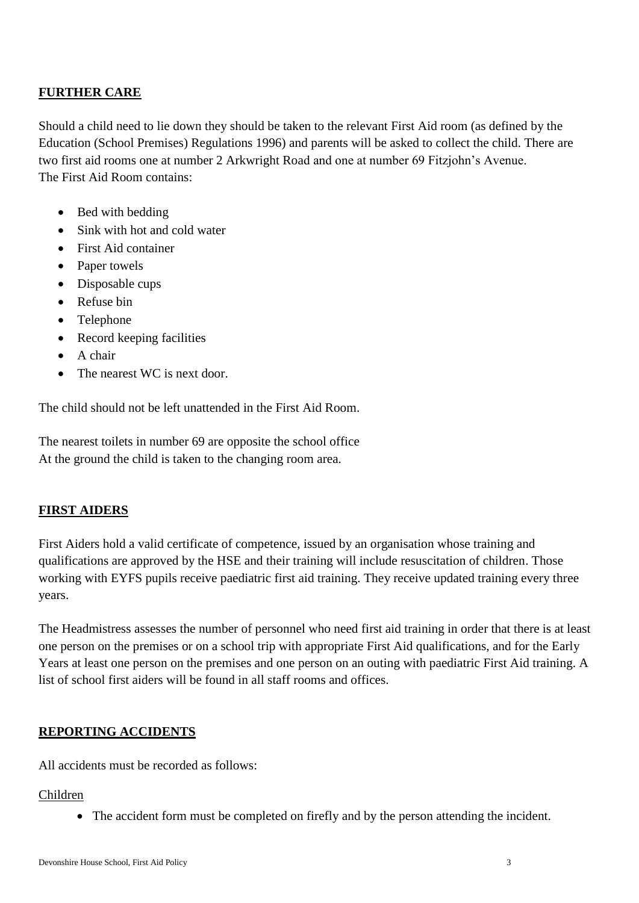## **FURTHER CARE**

Should a child need to lie down they should be taken to the relevant First Aid room (as defined by the Education (School Premises) Regulations 1996) and parents will be asked to collect the child. There are two first aid rooms one at number 2 Arkwright Road and one at number 69 Fitzjohn's Avenue. The First Aid Room contains:

- Bed with bedding
- Sink with hot and cold water
- First Aid container
- Paper towels
- Disposable cups
- Refuse bin
- Telephone
- Record keeping facilities
- A chair
- The nearest WC is next door.

The child should not be left unattended in the First Aid Room.

The nearest toilets in number 69 are opposite the school office At the ground the child is taken to the changing room area.

## **FIRST AIDERS**

First Aiders hold a valid certificate of competence, issued by an organisation whose training and qualifications are approved by the HSE and their training will include resuscitation of children. Those working with EYFS pupils receive paediatric first aid training. They receive updated training every three years.

The Headmistress assesses the number of personnel who need first aid training in order that there is at least one person on the premises or on a school trip with appropriate First Aid qualifications, and for the Early Years at least one person on the premises and one person on an outing with paediatric First Aid training. A list of school first aiders will be found in all staff rooms and offices.

## **REPORTING ACCIDENTS**

All accidents must be recorded as follows:

## Children

• The accident form must be completed on firefly and by the person attending the incident.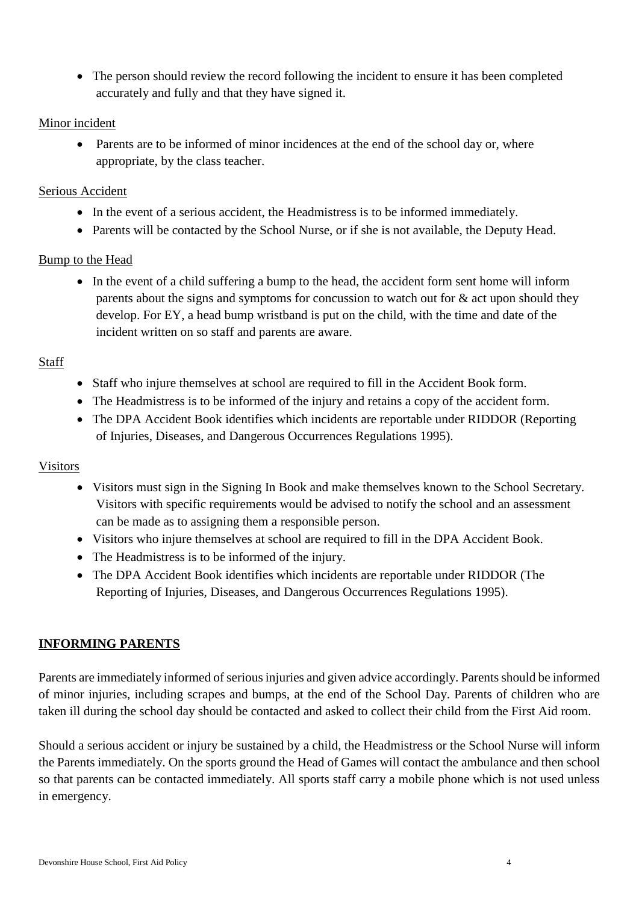The person should review the record following the incident to ensure it has been completed accurately and fully and that they have signed it.

## Minor incident

• Parents are to be informed of minor incidences at the end of the school day or, where appropriate, by the class teacher.

#### Serious Accident

- In the event of a serious accident, the Headmistress is to be informed immediately.
- Parents will be contacted by the School Nurse, or if she is not available, the Deputy Head.

#### Bump to the Head

• In the event of a child suffering a bump to the head, the accident form sent home will inform parents about the signs and symptoms for concussion to watch out for & act upon should they develop. For EY, a head bump wristband is put on the child, with the time and date of the incident written on so staff and parents are aware.

#### **Staff**

- Staff who injure themselves at school are required to fill in the Accident Book form.
- The Headmistress is to be informed of the injury and retains a copy of the accident form.
- The DPA Accident Book identifies which incidents are reportable under RIDDOR (Reporting of Injuries, Diseases, and Dangerous Occurrences Regulations 1995).

#### Visitors

- Visitors must sign in the Signing In Book and make themselves known to the School Secretary. Visitors with specific requirements would be advised to notify the school and an assessment can be made as to assigning them a responsible person.
- Visitors who injure themselves at school are required to fill in the DPA Accident Book.
- The Headmistress is to be informed of the injury.
- The DPA Accident Book identifies which incidents are reportable under RIDDOR (The Reporting of Injuries, Diseases, and Dangerous Occurrences Regulations 1995).

## **INFORMING PARENTS**

Parents are immediately informed of serious injuries and given advice accordingly. Parents should be informed of minor injuries, including scrapes and bumps, at the end of the School Day. Parents of children who are taken ill during the school day should be contacted and asked to collect their child from the First Aid room.

Should a serious accident or injury be sustained by a child, the Headmistress or the School Nurse will inform the Parents immediately. On the sports ground the Head of Games will contact the ambulance and then school so that parents can be contacted immediately. All sports staff carry a mobile phone which is not used unless in emergency.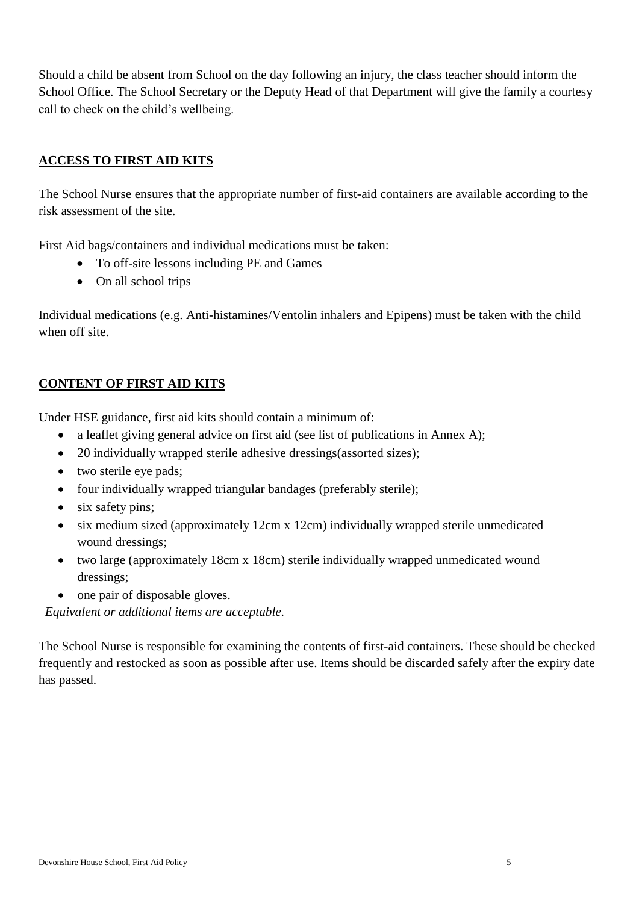Should a child be absent from School on the day following an injury, the class teacher should inform the School Office. The School Secretary or the Deputy Head of that Department will give the family a courtesy call to check on the child's wellbeing.

## **ACCESS TO FIRST AID KITS**

The School Nurse ensures that the appropriate number of first-aid containers are available according to the risk assessment of the site.

First Aid bags/containers and individual medications must be taken:

- To off-site lessons including PE and Games
- On all school trips

Individual medications (e.g. Anti-histamines/Ventolin inhalers and Epipens) must be taken with the child when off site.

## **CONTENT OF FIRST AID KITS**

Under HSE guidance, first aid kits should contain a minimum of:

- a leaflet giving general advice on first aid (see list of publications in Annex A);
- 20 individually wrapped sterile adhesive dressings(assorted sizes);
- two sterile eye pads;
- four individually wrapped triangular bandages (preferably sterile);
- six safety pins;
- six medium sized (approximately 12cm x 12cm) individually wrapped sterile unmedicated wound dressings;
- two large (approximately 18cm x 18cm) sterile individually wrapped unmedicated wound dressings;
- one pair of disposable gloves.

*5Equivalent or additional items are acceptable.*

The School Nurse is responsible for examining the contents of first-aid containers. These should be checked frequently and restocked as soon as possible after use. Items should be discarded safely after the expiry date has passed.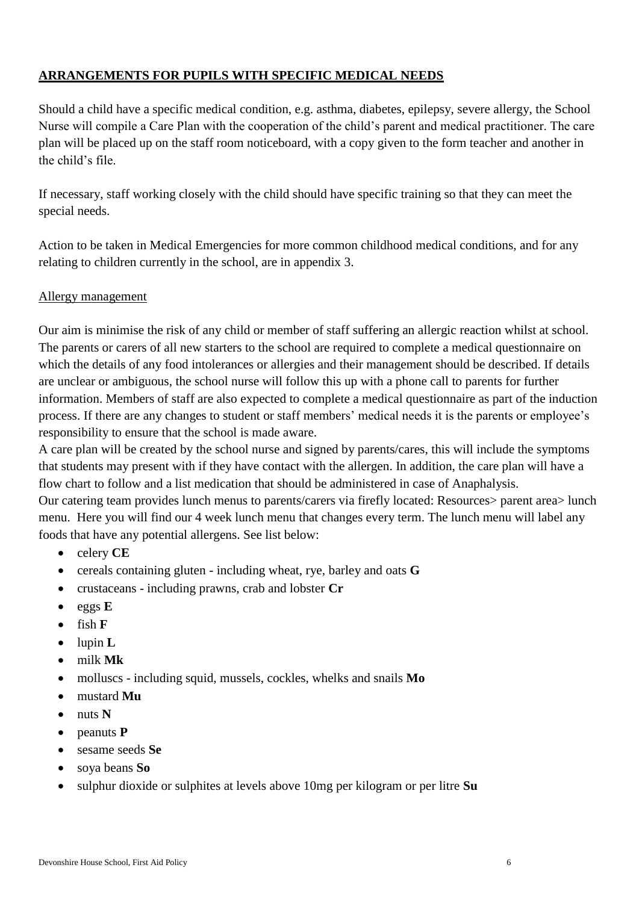# **ARRANGEMENTS FOR PUPILS WITH SPECIFIC MEDICAL NEEDS**

Should a child have a specific medical condition, e.g. asthma, diabetes, epilepsy, severe allergy, the School Nurse will compile a Care Plan with the cooperation of the child's parent and medical practitioner. The care plan will be placed up on the staff room noticeboard, with a copy given to the form teacher and another in the child's file.

If necessary, staff working closely with the child should have specific training so that they can meet the special needs.

Action to be taken in Medical Emergencies for more common childhood medical conditions, and for any relating to children currently in the school, are in appendix 3.

## Allergy management

Our aim is minimise the risk of any child or member of staff suffering an allergic reaction whilst at school. The parents or carers of all new starters to the school are required to complete a medical questionnaire on which the details of any food intolerances or allergies and their management should be described. If details are unclear or ambiguous, the school nurse will follow this up with a phone call to parents for further information. Members of staff are also expected to complete a medical questionnaire as part of the induction process. If there are any changes to student or staff members' medical needs it is the parents or employee's responsibility to ensure that the school is made aware.

A care plan will be created by the school nurse and signed by parents/cares, this will include the symptoms that students may present with if they have contact with the allergen. In addition, the care plan will have a flow chart to follow and a list medication that should be administered in case of Anaphalysis.

Our catering team provides lunch menus to parents/carers via firefly located: Resources> parent area> lunch menu. Here you will find our 4 week lunch menu that changes every term. The lunch menu will label any foods that have any potential allergens. See list below:

- celery **CE**
- cereals containing gluten including wheat, rye, barley and oats **G**
- crustaceans including prawns, crab and lobster **Cr**
- eggs **E**
- $\bullet$  fish  $\mathbf F$
- lupin **L**
- milk **Mk**
- molluscs including squid, mussels, cockles, whelks and snails **Mo**
- mustard **Mu**
- nuts **N**
- peanuts **P**
- sesame seeds **Se**
- soya beans **So**
- sulphur dioxide or sulphites at levels above 10mg per kilogram or per litre **Su**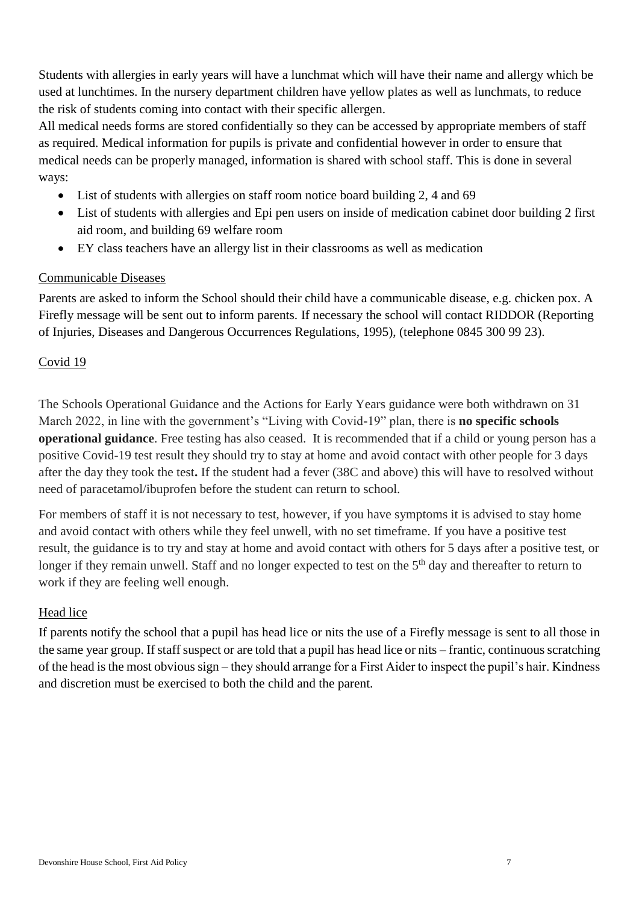Students with allergies in early years will have a lunchmat which will have their name and allergy which be used at lunchtimes. In the nursery department children have yellow plates as well as lunchmats, to reduce the risk of students coming into contact with their specific allergen.

All medical needs forms are stored confidentially so they can be accessed by appropriate members of staff as required. Medical information for pupils is private and confidential however in order to ensure that medical needs can be properly managed, information is shared with school staff. This is done in several ways:

- List of students with allergies on staff room notice board building 2, 4 and 69
- List of students with allergies and Epi pen users on inside of medication cabinet door building 2 first aid room, and building 69 welfare room
- EY class teachers have an allergy list in their classrooms as well as medication

## Communicable Diseases

Parents are asked to inform the School should their child have a communicable disease, e.g. chicken pox. A Firefly message will be sent out to inform parents. If necessary the school will contact RIDDOR (Reporting of Injuries, Diseases and Dangerous Occurrences Regulations, 1995), (telephone 0845 300 99 23).

## Covid 19

The Schools Operational Guidance and the Actions for Early Years guidance were both withdrawn on 31 March 2022, in line with the government's "Living with Covid-19" plan, there is **no specific schools operational guidance**. Free testing has also ceased. It is recommended that if a child or young person has a positive Covid-19 test result they should try to stay at home and avoid contact with other people for 3 days after the day they took the test**.** If the student had a fever (38C and above) this will have to resolved without need of paracetamol/ibuprofen before the student can return to school.

For members of staff it is not necessary to test, however, if you have symptoms it is advised to stay home and avoid contact with others while they feel unwell, with no set timeframe. If you have a positive test result, the guidance is to try and stay at home and avoid contact with others for 5 days after a positive test, or longer if they remain unwell. Staff and no longer expected to test on the 5<sup>th</sup> day and thereafter to return to work if they are feeling well enough.

## Head lice

If parents notify the school that a pupil has head lice or nits the use of a Firefly message is sent to all those in the same year group. If staff suspect or are told that a pupil has head lice or nits – frantic, continuous scratching of the head is the most obvious sign – they should arrange for a First Aider to inspect the pupil's hair. Kindness and discretion must be exercised to both the child and the parent.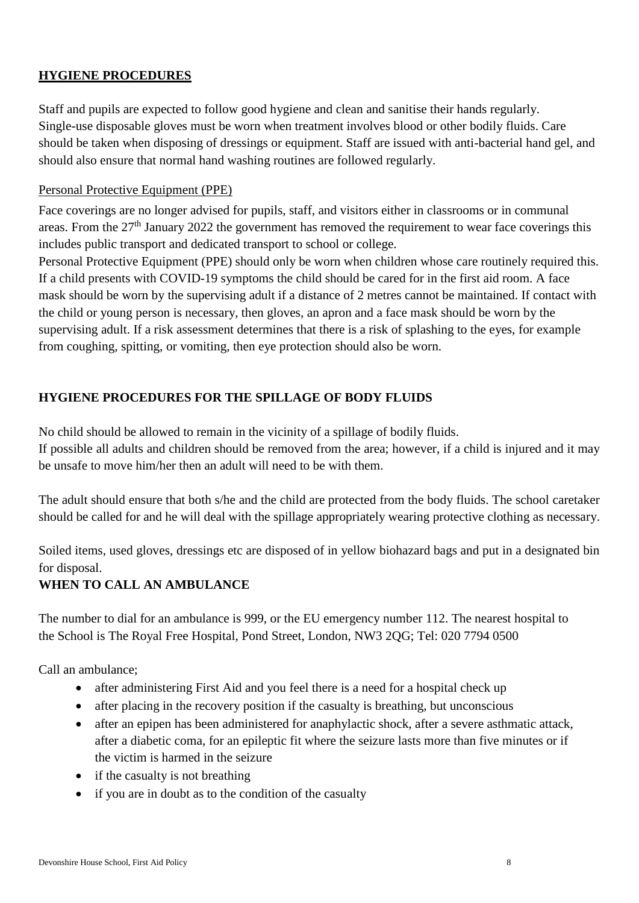## **HYGIENE PROCEDURES**

Staff and pupils are expected to follow good hygiene and clean and sanitise their hands regularly. Single-use disposable gloves must be worn when treatment involves blood or other bodily fluids. Care should be taken when disposing of dressings or equipment. Staff are issued with anti-bacterial hand gel, and should also ensure that normal hand washing routines are followed regularly.

#### Personal Protective Equipment (PPE)

Face coverings are no longer advised for pupils, staff, and visitors either in classrooms or in communal areas. From the  $27<sup>th</sup>$  January 2022 the government has removed the requirement to wear face coverings this includes public transport and dedicated transport to school or college.

Personal Protective Equipment (PPE) should only be worn when children whose care routinely required this. If a child presents with COVID-19 symptoms the child should be cared for in the first aid room. A face mask should be worn by the supervising adult if a distance of 2 metres cannot be maintained. If contact with the child or young person is necessary, then gloves, an apron and a face mask should be worn by the supervising adult. If a risk assessment determines that there is a risk of splashing to the eyes, for example from coughing, spitting, or vomiting, then eye protection should also be worn.

# **HYGIENE PROCEDURES FOR THE SPILLAGE OF BODY FLUIDS**

No child should be allowed to remain in the vicinity of a spillage of bodily fluids.

If possible all adults and children should be removed from the area; however, if a child is injured and it may be unsafe to move him/her then an adult will need to be with them.

The adult should ensure that both s/he and the child are protected from the body fluids. The school caretaker should be called for and he will deal with the spillage appropriately wearing protective clothing as necessary.

Soiled items, used gloves, dressings etc are disposed of in yellow biohazard bags and put in a designated bin for disposal.

## **WHEN TO CALL AN AMBULANCE**

The number to dial for an ambulance is 999, or the EU emergency number 112. The nearest hospital to the School is The Royal Free Hospital, Pond Street, London, NW3 2QG; Tel: 020 7794 0500

Call an ambulance;

- after administering First Aid and you feel there is a need for a hospital check up
- after placing in the recovery position if the casualty is breathing, but unconscious
- after an epipen has been administered for anaphylactic shock, after a severe asthmatic attack, after a diabetic coma, for an epileptic fit where the seizure lasts more than five minutes or if the victim is harmed in the seizure
- $\bullet$  if the casualty is not breathing
- if you are in doubt as to the condition of the casualty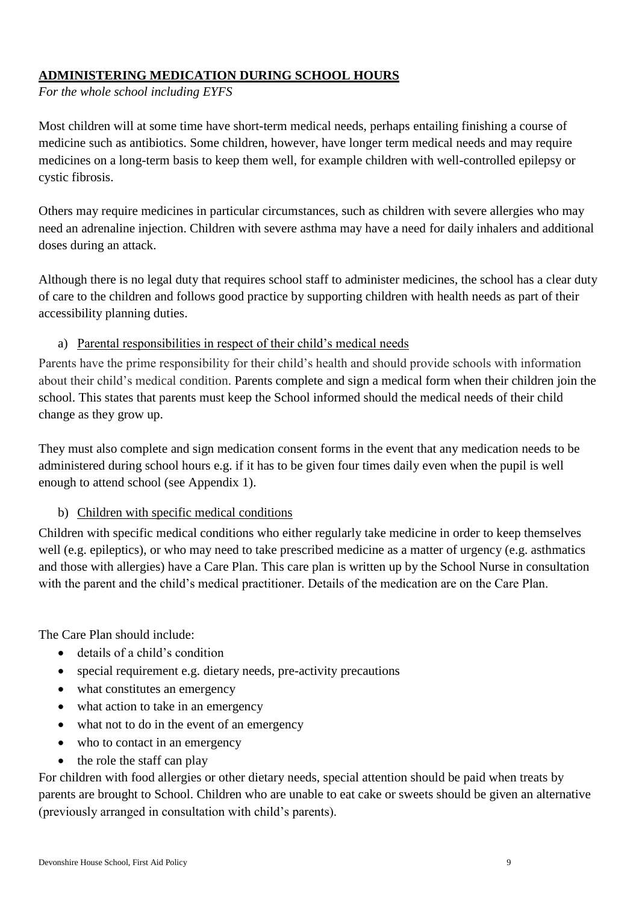## **ADMINISTERING MEDICATION DURING SCHOOL HOURS**

*For the whole school including EYFS*

Most children will at some time have short-term medical needs, perhaps entailing finishing a course of medicine such as antibiotics. Some children, however, have longer term medical needs and may require medicines on a long-term basis to keep them well, for example children with well-controlled epilepsy or cystic fibrosis.

Others may require medicines in particular circumstances, such as children with severe allergies who may need an adrenaline injection. Children with severe asthma may have a need for daily inhalers and additional doses during an attack.

Although there is no legal duty that requires school staff to administer medicines, the school has a clear duty of care to the children and follows good practice by supporting children with health needs as part of their accessibility planning duties.

## a) Parental responsibilities in respect of their child's medical needs

Parents have the prime responsibility for their child's health and should provide schools with information about their child's medical condition. Parents complete and sign a medical form when their children join the school. This states that parents must keep the School informed should the medical needs of their child change as they grow up.

They must also complete and sign medication consent forms in the event that any medication needs to be administered during school hours e.g. if it has to be given four times daily even when the pupil is well enough to attend school (see Appendix 1).

# b) Children with specific medical conditions

Children with specific medical conditions who either regularly take medicine in order to keep themselves well (e.g. epileptics), or who may need to take prescribed medicine as a matter of urgency (e.g. asthmatics and those with allergies) have a Care Plan. This care plan is written up by the School Nurse in consultation with the parent and the child's medical practitioner. Details of the medication are on the Care Plan.

The Care Plan should include:

- details of a child's condition
- special requirement e.g. dietary needs, pre-activity precautions
- what constitutes an emergency
- what action to take in an emergency
- what not to do in the event of an emergency
- who to contact in an emergency
- $\bullet$  the role the staff can play

For children with food allergies or other dietary needs, special attention should be paid when treats by parents are brought to School. Children who are unable to eat cake or sweets should be given an alternative (previously arranged in consultation with child's parents).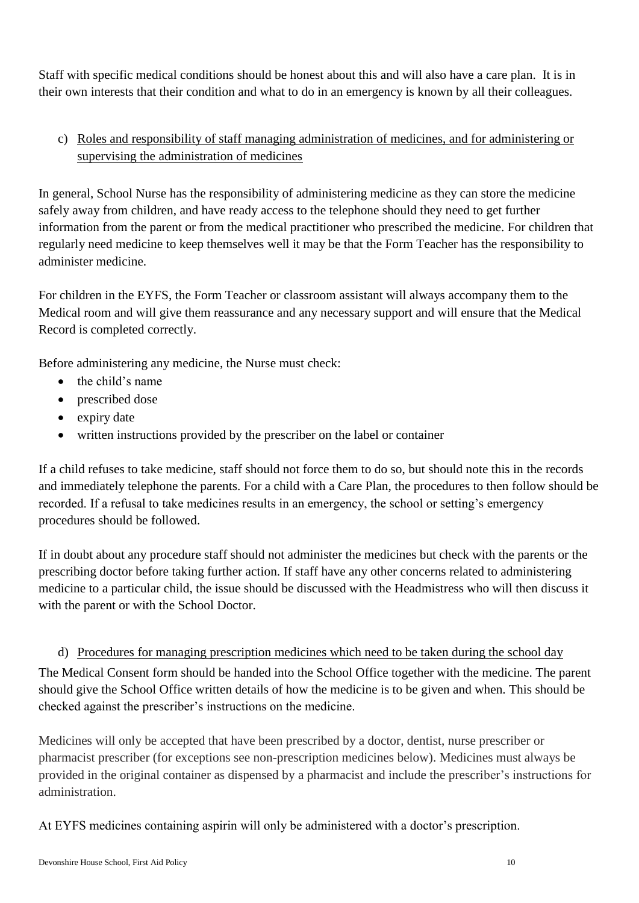Staff with specific medical conditions should be honest about this and will also have a care plan. It is in their own interests that their condition and what to do in an emergency is known by all their colleagues.

# c) Roles and responsibility of staff managing administration of medicines, and for administering or supervising the administration of medicines

In general, School Nurse has the responsibility of administering medicine as they can store the medicine safely away from children, and have ready access to the telephone should they need to get further information from the parent or from the medical practitioner who prescribed the medicine. For children that regularly need medicine to keep themselves well it may be that the Form Teacher has the responsibility to administer medicine.

For children in the EYFS, the Form Teacher or classroom assistant will always accompany them to the Medical room and will give them reassurance and any necessary support and will ensure that the Medical Record is completed correctly.

Before administering any medicine, the Nurse must check:

- $\bullet$  the child's name
- prescribed dose
- expiry date
- written instructions provided by the prescriber on the label or container

If a child refuses to take medicine, staff should not force them to do so, but should note this in the records and immediately telephone the parents. For a child with a Care Plan, the procedures to then follow should be recorded. If a refusal to take medicines results in an emergency, the school or setting's emergency procedures should be followed.

If in doubt about any procedure staff should not administer the medicines but check with the parents or the prescribing doctor before taking further action. If staff have any other concerns related to administering medicine to a particular child, the issue should be discussed with the Headmistress who will then discuss it with the parent or with the School Doctor.

## d) Procedures for managing prescription medicines which need to be taken during the school day

The Medical Consent form should be handed into the School Office together with the medicine. The parent should give the School Office written details of how the medicine is to be given and when. This should be checked against the prescriber's instructions on the medicine.

Medicines will only be accepted that have been prescribed by a doctor, dentist, nurse prescriber or pharmacist prescriber (for exceptions see non-prescription medicines below). Medicines must always be provided in the original container as dispensed by a pharmacist and include the prescriber's instructions for administration.

At EYFS medicines containing aspirin will only be administered with a doctor's prescription.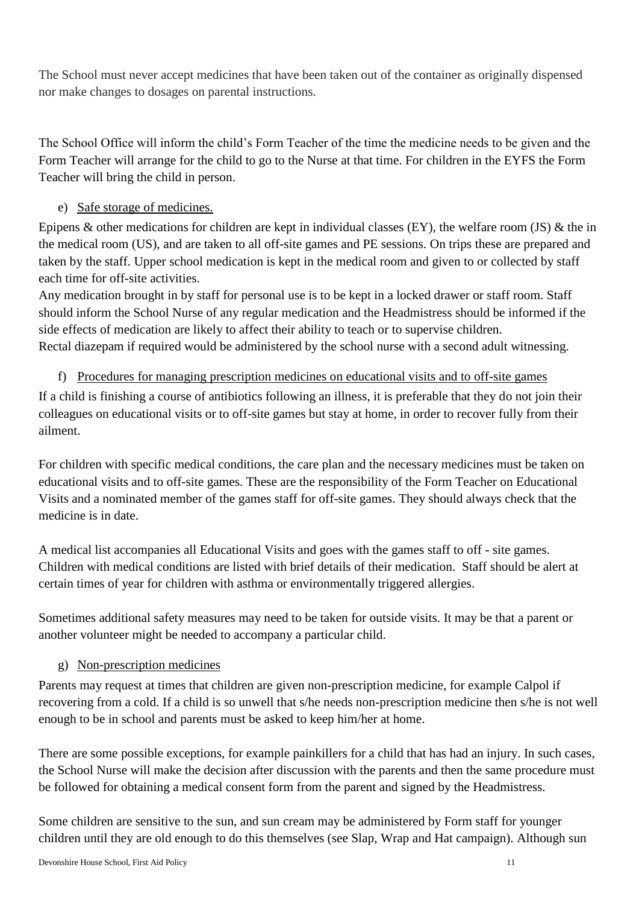The School must never accept medicines that have been taken out of the container as originally dispensed nor make changes to dosages on parental instructions.

The School Office will inform the child's Form Teacher of the time the medicine needs to be given and the Form Teacher will arrange for the child to go to the Nurse at that time. For children in the EYFS the Form Teacher will bring the child in person.

# e) Safe storage of medicines.

Epipens  $\&$  other medications for children are kept in individual classes (EY), the welfare room (JS)  $\&$  the in the medical room (US), and are taken to all off-site games and PE sessions. On trips these are prepared and taken by the staff. Upper school medication is kept in the medical room and given to or collected by staff each time for off-site activities.

Any medication brought in by staff for personal use is to be kept in a locked drawer or staff room. Staff should inform the School Nurse of any regular medication and the Headmistress should be informed if the side effects of medication are likely to affect their ability to teach or to supervise children. Rectal diazepam if required would be administered by the school nurse with a second adult witnessing.

# f) Procedures for managing prescription medicines on educational visits and to off-site games

If a child is finishing a course of antibiotics following an illness, it is preferable that they do not join their colleagues on educational visits or to off-site games but stay at home, in order to recover fully from their ailment.

For children with specific medical conditions, the care plan and the necessary medicines must be taken on educational visits and to off-site games. These are the responsibility of the Form Teacher on Educational Visits and a nominated member of the games staff for off-site games. They should always check that the medicine is in date.

A medical list accompanies all Educational Visits and goes with the games staff to off - site games. Children with medical conditions are listed with brief details of their medication. Staff should be alert at certain times of year for children with asthma or environmentally triggered allergies.

Sometimes additional safety measures may need to be taken for outside visits. It may be that a parent or another volunteer might be needed to accompany a particular child.

# g) Non-prescription medicines

Parents may request at times that children are given non-prescription medicine, for example Calpol if recovering from a cold. If a child is so unwell that s/he needs non-prescription medicine then s/he is not well enough to be in school and parents must be asked to keep him/her at home.

There are some possible exceptions, for example painkillers for a child that has had an injury. In such cases, the School Nurse will make the decision after discussion with the parents and then the same procedure must be followed for obtaining a medical consent form from the parent and signed by the Headmistress.

Some children are sensitive to the sun, and sun cream may be administered by Form staff for younger children until they are old enough to do this themselves (see Slap, Wrap and Hat campaign). Although sun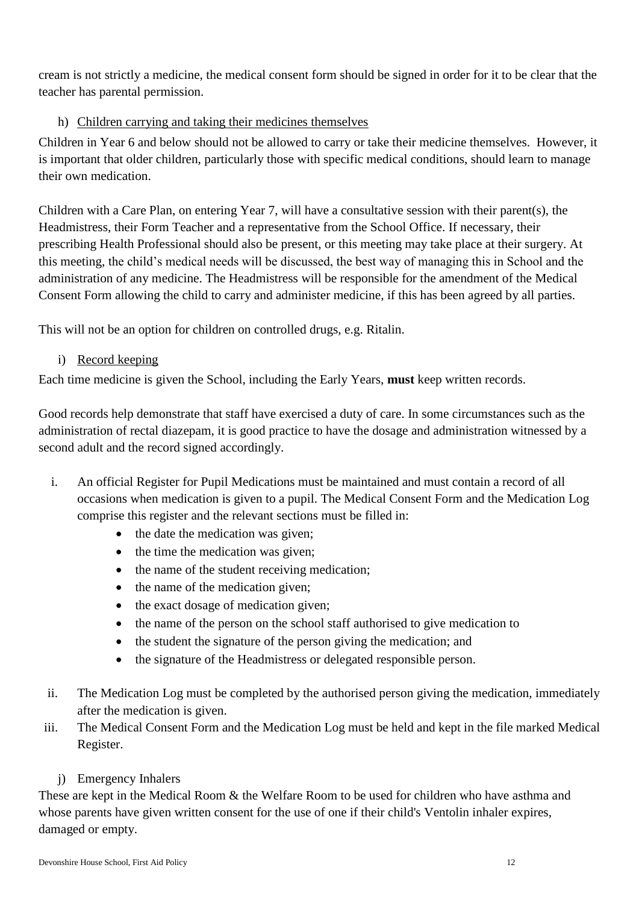cream is not strictly a medicine, the medical consent form should be signed in order for it to be clear that the teacher has parental permission.

# h) Children carrying and taking their medicines themselves

Children in Year 6 and below should not be allowed to carry or take their medicine themselves. However, it is important that older children, particularly those with specific medical conditions, should learn to manage their own medication.

Children with a Care Plan, on entering Year 7, will have a consultative session with their parent(s), the Headmistress, their Form Teacher and a representative from the School Office. If necessary, their prescribing Health Professional should also be present, or this meeting may take place at their surgery. At this meeting, the child's medical needs will be discussed, the best way of managing this in School and the administration of any medicine. The Headmistress will be responsible for the amendment of the Medical Consent Form allowing the child to carry and administer medicine, if this has been agreed by all parties.

This will not be an option for children on controlled drugs, e.g. Ritalin.

## i) Record keeping

Each time medicine is given the School, including the Early Years, **must** keep written records.

Good records help demonstrate that staff have exercised a duty of care. In some circumstances such as the administration of rectal diazepam, it is good practice to have the dosage and administration witnessed by a second adult and the record signed accordingly.

- i. An official Register for Pupil Medications must be maintained and must contain a record of all occasions when medication is given to a pupil. The Medical Consent Form and the Medication Log comprise this register and the relevant sections must be filled in:
	- $\bullet$  the date the medication was given;
	- the time the medication was given;
	- the name of the student receiving medication;
	- the name of the medication given;
	- the exact dosage of medication given;
	- the name of the person on the school staff authorised to give medication to
	- the student the signature of the person giving the medication; and
	- the signature of the Headmistress or delegated responsible person.
- ii. The Medication Log must be completed by the authorised person giving the medication, immediately after the medication is given.
- iii. The Medical Consent Form and the Medication Log must be held and kept in the file marked Medical Register.

# j) Emergency Inhalers

These are kept in the Medical Room & the Welfare Room to be used for children who have asthma and whose parents have given written consent for the use of one if their child's Ventolin inhaler expires, damaged or empty.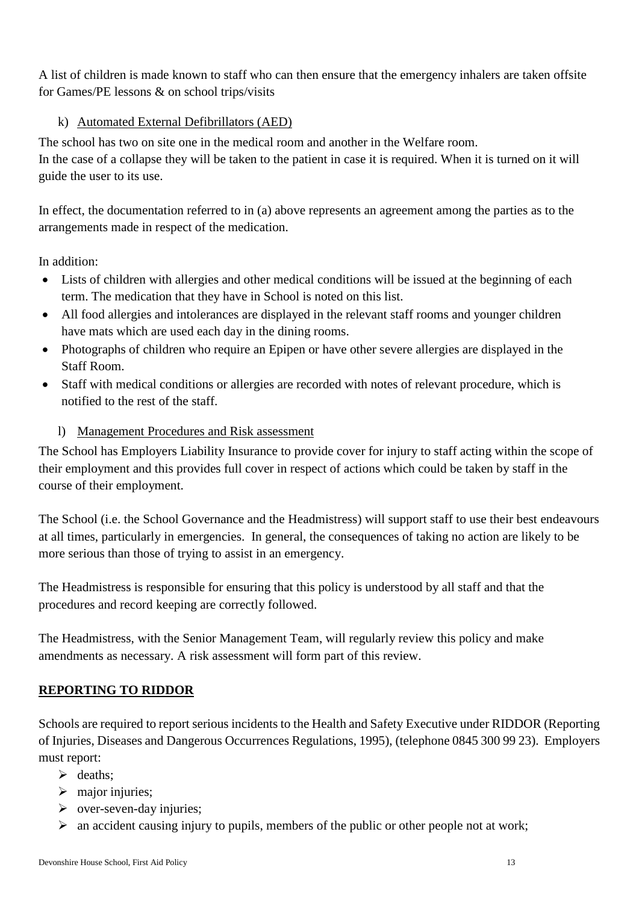A list of children is made known to staff who can then ensure that the emergency inhalers are taken offsite for Games/PE lessons & on school trips/visits

## k) Automated External Defibrillators (AED)

The school has two on site one in the medical room and another in the Welfare room. In the case of a collapse they will be taken to the patient in case it is required. When it is turned on it will guide the user to its use.

In effect, the documentation referred to in (a) above represents an agreement among the parties as to the arrangements made in respect of the medication.

In addition:

- Lists of children with allergies and other medical conditions will be issued at the beginning of each term. The medication that they have in School is noted on this list.
- All food allergies and intolerances are displayed in the relevant staff rooms and younger children have mats which are used each day in the dining rooms.
- Photographs of children who require an Epipen or have other severe allergies are displayed in the Staff Room.
- Staff with medical conditions or allergies are recorded with notes of relevant procedure, which is notified to the rest of the staff.
	- l) Management Procedures and Risk assessment

The School has Employers Liability Insurance to provide cover for injury to staff acting within the scope of their employment and this provides full cover in respect of actions which could be taken by staff in the course of their employment.

The School (i.e. the School Governance and the Headmistress) will support staff to use their best endeavours at all times, particularly in emergencies. In general, the consequences of taking no action are likely to be more serious than those of trying to assist in an emergency.

The Headmistress is responsible for ensuring that this policy is understood by all staff and that the procedures and record keeping are correctly followed.

The Headmistress, with the Senior Management Team, will regularly review this policy and make amendments as necessary. A risk assessment will form part of this review.

## **REPORTING TO RIDDOR**

Schools are required to report serious incidents to the Health and Safety Executive under RIDDOR (Reporting of Injuries, Diseases and Dangerous Occurrences Regulations, 1995), (telephone 0845 300 99 23). Employers must report:

- $\triangleright$  deaths:
- $\triangleright$  major injuries;
- $\triangleright$  over-seven-day injuries;
- $\triangleright$  an accident causing injury to pupils, members of the public or other people not at work;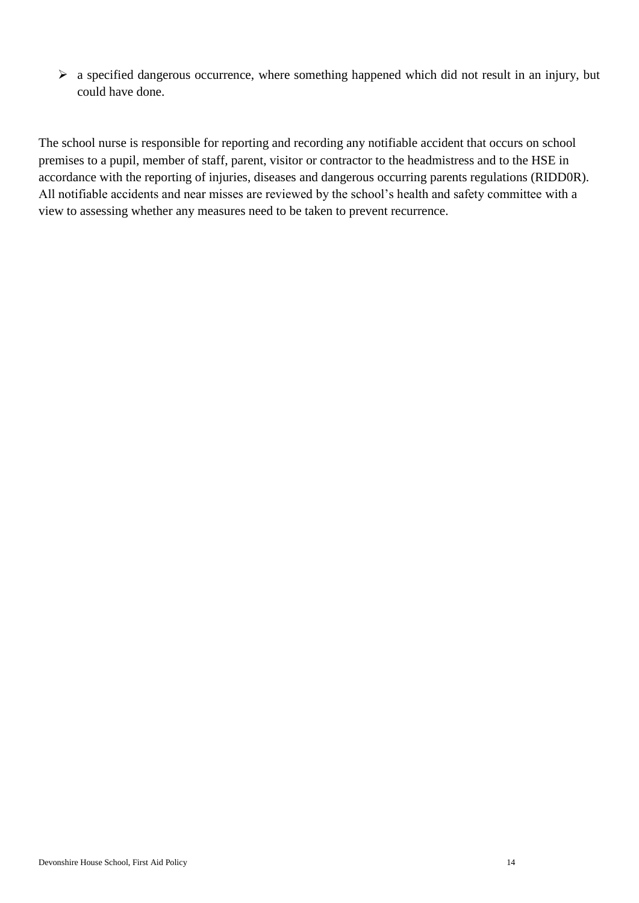$\triangleright$  a specified dangerous occurrence, where something happened which did not result in an injury, but could have done.

The school nurse is responsible for reporting and recording any notifiable accident that occurs on school premises to a pupil, member of staff, parent, visitor or contractor to the headmistress and to the HSE in accordance with the reporting of injuries, diseases and dangerous occurring parents regulations (RIDD0R). All notifiable accidents and near misses are reviewed by the school's health and safety committee with a view to assessing whether any measures need to be taken to prevent recurrence.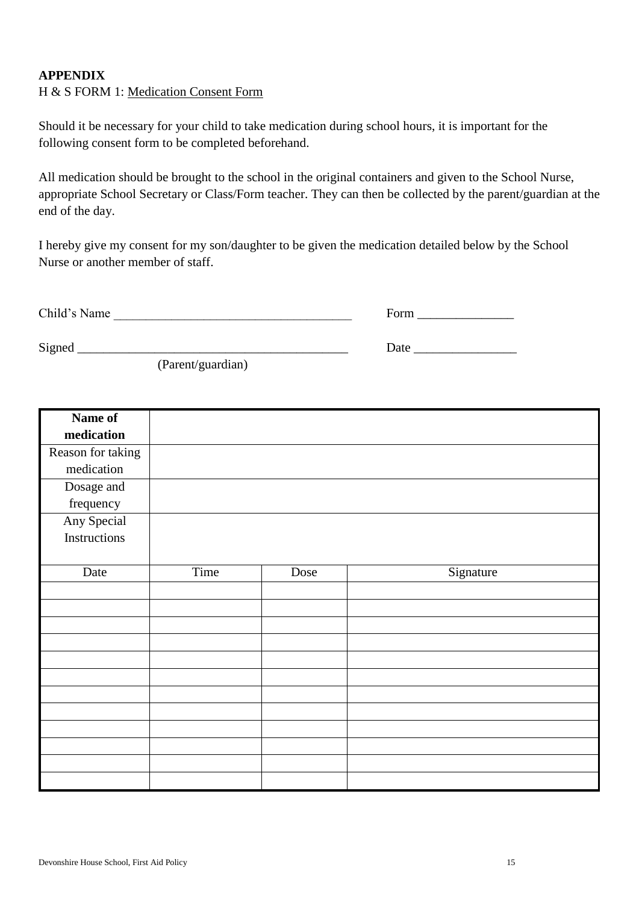## **APPENDIX**

#### H & S FORM 1: Medication Consent Form

Should it be necessary for your child to take medication during school hours, it is important for the following consent form to be completed beforehand.

All medication should be brought to the school in the original containers and given to the School Nurse, appropriate School Secretary or Class/Form teacher. They can then be collected by the parent/guardian at the end of the day.

I hereby give my consent for my son/daughter to be given the medication detailed below by the School Nurse or another member of staff.

Child's Name \_\_\_\_\_\_\_\_\_\_\_\_\_\_\_\_\_\_\_\_\_\_\_\_\_\_\_\_\_\_\_\_\_\_\_\_\_ Form \_\_\_\_\_\_\_\_\_\_\_\_\_\_\_

Signed Date Date  $\Box$ 

(Parent/guardian)

| Name of           |      |      |           |
|-------------------|------|------|-----------|
| medication        |      |      |           |
| Reason for taking |      |      |           |
| medication        |      |      |           |
| Dosage and        |      |      |           |
| frequency         |      |      |           |
| Any Special       |      |      |           |
| Instructions      |      |      |           |
|                   |      |      |           |
| Date              | Time | Dose | Signature |
|                   |      |      |           |
|                   |      |      |           |
|                   |      |      |           |
|                   |      |      |           |
|                   |      |      |           |
|                   |      |      |           |
|                   |      |      |           |
|                   |      |      |           |
|                   |      |      |           |
|                   |      |      |           |
|                   |      |      |           |
|                   |      |      |           |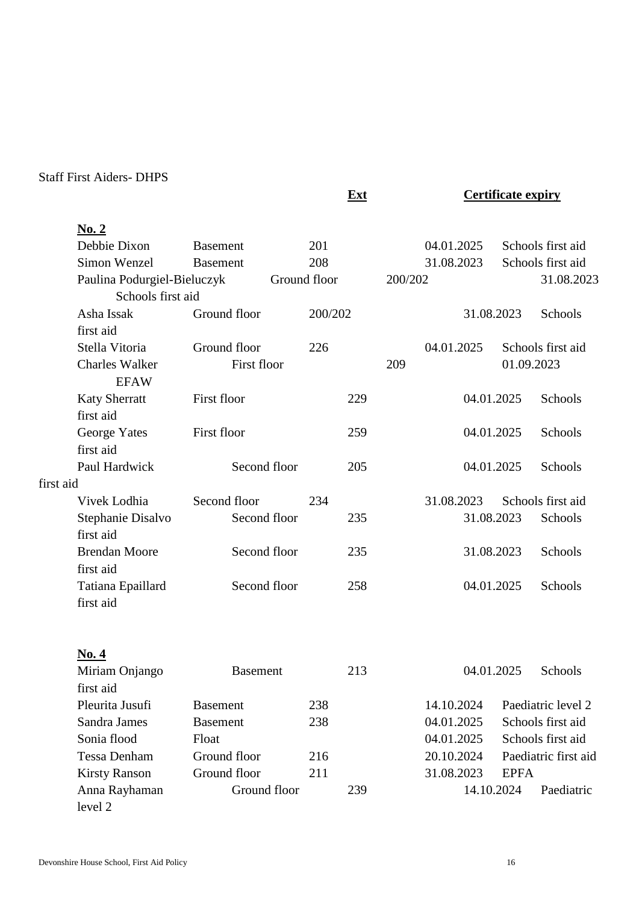# Staff First Aiders- DHPS

**No. 2**

**Ext Certificate expiry** 

|           | Debbie Dixon                | <b>Basement</b> | 201     |         | 04.01.2025 |             | Schools first aid    |
|-----------|-----------------------------|-----------------|---------|---------|------------|-------------|----------------------|
|           | Simon Wenzel                | <b>Basement</b> | 208     |         | 31.08.2023 |             | Schools first aid    |
|           | Paulina Podurgiel-Bieluczyk | Ground floor    |         | 200/202 |            |             | 31.08.2023           |
|           | Schools first aid           |                 |         |         |            |             |                      |
|           | Asha Issak                  | Ground floor    | 200/202 |         | 31.08.2023 |             | Schools              |
|           | first aid                   |                 |         |         |            |             |                      |
|           | Stella Vitoria              | Ground floor    | 226     |         | 04.01.2025 |             | Schools first aid    |
|           | <b>Charles Walker</b>       | First floor     |         | 209     |            | 01.09.2023  |                      |
|           | <b>EFAW</b>                 |                 |         |         |            |             |                      |
|           | <b>Katy Sherratt</b>        | First floor     | 229     |         | 04.01.2025 |             | Schools              |
|           | first aid                   |                 |         |         |            |             |                      |
|           | George Yates                | First floor     | 259     |         | 04.01.2025 |             | Schools              |
|           | first aid                   |                 |         |         |            |             |                      |
|           | Paul Hardwick               | Second floor    | 205     |         | 04.01.2025 |             | Schools              |
| first aid |                             |                 |         |         |            |             |                      |
|           | Vivek Lodhia                | Second floor    | 234     |         | 31.08.2023 |             | Schools first aid    |
|           | Stephanie Disalvo           | Second floor    | 235     |         | 31.08.2023 |             | Schools              |
|           | first aid                   |                 |         |         |            |             |                      |
|           | <b>Brendan Moore</b>        | Second floor    | 235     |         | 31.08.2023 |             | Schools              |
|           | first aid                   |                 |         |         |            |             |                      |
|           | Tatiana Epaillard           | Second floor    | 258     |         | 04.01.2025 |             | Schools              |
|           | first aid                   |                 |         |         |            |             |                      |
|           |                             |                 |         |         |            |             |                      |
|           |                             |                 |         |         |            |             |                      |
|           | <u>No. 4</u>                |                 |         |         |            |             |                      |
|           | Miriam Onjango              | <b>Basement</b> | 213     |         | 04.01.2025 |             | Schools              |
|           | first aid                   |                 |         |         |            |             |                      |
|           | Pleurita Jusufi             | <b>Basement</b> | 238     |         | 14.10.2024 |             | Paediatric level 2   |
|           | Sandra James                | <b>Basement</b> | 238     |         | 04.01.2025 |             | Schools first aid    |
|           | Sonia flood                 | Float           |         |         | 04.01.2025 |             | Schools first aid    |
|           | <b>Tessa Denham</b>         | Ground floor    | 216     |         | 20.10.2024 |             | Paediatric first aid |
|           | <b>Kirsty Ranson</b>        | Ground floor    | 211     |         | 31.08.2023 | <b>EPFA</b> |                      |
|           | Anna Rayhaman               | Ground floor    | 239     |         |            | 14.10.2024  | Paediatric           |
|           | level 2                     |                 |         |         |            |             |                      |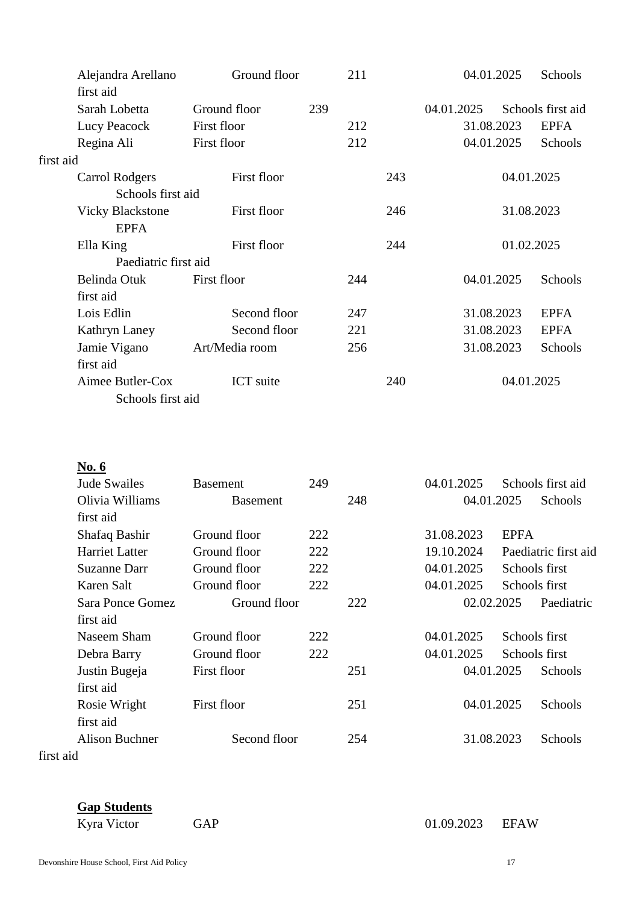|           | Alejandra Arellano      | Ground floor     |     | 211 |     |            | 04.01.2025 | Schools           |
|-----------|-------------------------|------------------|-----|-----|-----|------------|------------|-------------------|
|           | first aid               |                  |     |     |     |            |            |                   |
|           | Sarah Lobetta           | Ground floor     | 239 |     |     | 04.01.2025 |            | Schools first aid |
|           | Lucy Peacock            | First floor      |     | 212 |     |            | 31.08.2023 | <b>EPFA</b>       |
|           | Regina Ali              | First floor      |     | 212 |     |            | 04.01.2025 | Schools           |
| first aid |                         |                  |     |     |     |            |            |                   |
|           | <b>Carrol Rodgers</b>   | First floor      |     |     | 243 |            |            | 04.01.2025        |
|           | Schools first aid       |                  |     |     |     |            |            |                   |
|           | <b>Vicky Blackstone</b> | First floor      |     |     | 246 |            |            | 31.08.2023        |
|           | <b>EPFA</b>             |                  |     |     |     |            |            |                   |
|           | Ella King               | First floor      |     |     | 244 |            |            | 01.02.2025        |
|           | Paediatric first aid    |                  |     |     |     |            |            |                   |
|           | Belinda Otuk            | First floor      |     | 244 |     |            | 04.01.2025 | Schools           |
|           | first aid               |                  |     |     |     |            |            |                   |
|           | Lois Edlin              | Second floor     |     | 247 |     |            | 31.08.2023 | <b>EPFA</b>       |
|           | Kathryn Laney           | Second floor     |     | 221 |     |            | 31.08.2023 | <b>EPFA</b>       |
|           | Jamie Vigano            | Art/Media room   |     | 256 |     |            | 31.08.2023 | Schools           |
|           | first aid               |                  |     |     |     |            |            |                   |
|           | Aimee Butler-Cox        | <b>ICT</b> suite |     |     | 240 |            |            | 04.01.2025        |
|           | Schools first aid       |                  |     |     |     |            |            |                   |

| <b>Jude Swailes</b>   | <b>Basement</b> | 249 |     | 04.01.2025 |             | Schools first aid    |
|-----------------------|-----------------|-----|-----|------------|-------------|----------------------|
| Olivia Williams       | <b>Basement</b> |     | 248 |            | 04.01.2025  | Schools              |
| first aid             |                 |     |     |            |             |                      |
| Shafaq Bashir         | Ground floor    | 222 |     | 31.08.2023 | <b>EPFA</b> |                      |
| <b>Harriet Latter</b> | Ground floor    | 222 |     | 19.10.2024 |             | Paediatric first aid |
| Suzanne Darr          | Ground floor    | 222 |     | 04.01.2025 |             | Schools first        |
| Karen Salt            | Ground floor    | 222 |     | 04.01.2025 |             | Schools first        |
| Sara Ponce Gomez      | Ground floor    |     | 222 |            | 02.02.2025  | Paediatric           |
| first aid             |                 |     |     |            |             |                      |
| Naseem Sham           | Ground floor    | 222 |     | 04.01.2025 |             | Schools first        |
| Debra Barry           | Ground floor    | 222 |     | 04.01.2025 |             | Schools first        |
| Justin Bugeja         | First floor     |     | 251 |            | 04.01.2025  | Schools              |
| first aid             |                 |     |     |            |             |                      |
| Rosie Wright          | First floor     |     | 251 |            | 04.01.2025  | Schools              |
| first aid             |                 |     |     |            |             |                      |
| Alison Buchner        | Second floor    |     | 254 |            | 31.08.2023  | Schools              |
|                       |                 |     |     |            |             |                      |

first aid

#### **Gap Students**

Kyra Victor GAP 61.09.2023 EFAW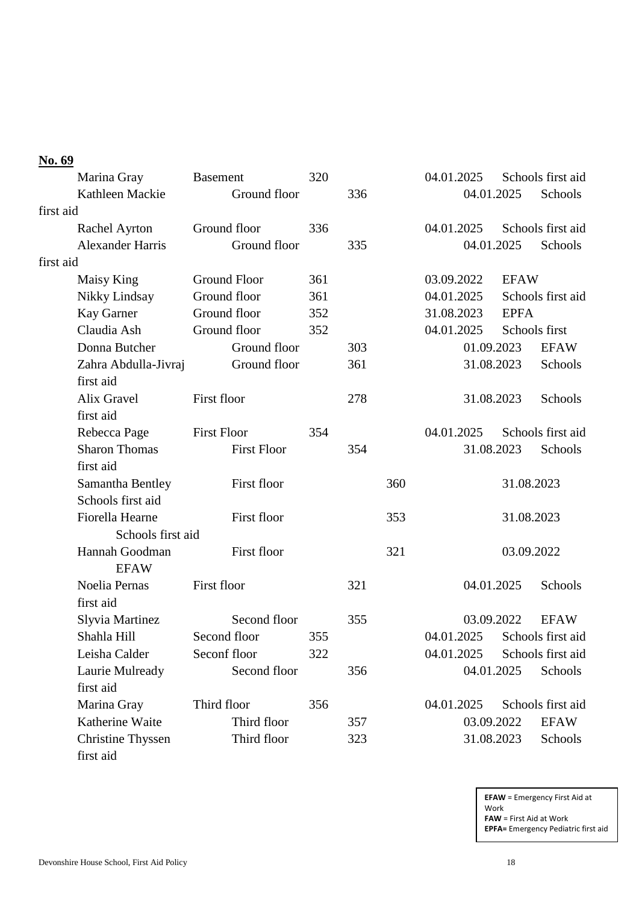# **No. 69**

| Marina Gray              | <b>Basement</b>     | 320 |     |     | 04.01.2025                   |             | Schools first aid |
|--------------------------|---------------------|-----|-----|-----|------------------------------|-------------|-------------------|
| Kathleen Mackie          | Ground floor        |     | 336 |     |                              | 04.01.2025  | Schools           |
| first aid                |                     |     |     |     |                              |             |                   |
| Rachel Ayrton            | Ground floor        | 336 |     |     | 04.01.2025                   |             | Schools first aid |
| <b>Alexander Harris</b>  | Ground floor        |     | 335 |     |                              | 04.01.2025  | Schools           |
| first aid                |                     |     |     |     |                              |             |                   |
| Maisy King               | <b>Ground Floor</b> | 361 |     |     | 03.09.2022                   | <b>EFAW</b> |                   |
| Nikky Lindsay            | Ground floor        | 361 |     |     | 04.01.2025                   |             | Schools first aid |
| Kay Garner               | Ground floor        | 352 |     |     | 31.08.2023                   | <b>EPFA</b> |                   |
| Claudia Ash              | Ground floor        | 352 |     |     | 04.01.2025                   |             | Schools first     |
| Donna Butcher            | Ground floor        |     | 303 |     |                              | 01.09.2023  | <b>EFAW</b>       |
| Zahra Abdulla-Jivraj     | Ground floor        |     | 361 |     |                              | 31.08.2023  | Schools           |
| first aid                |                     |     |     |     |                              |             |                   |
| Alix Gravel              | First floor         |     | 278 |     |                              | 31.08.2023  | Schools           |
| first aid                |                     |     |     |     |                              |             |                   |
| Rebecca Page             | <b>First Floor</b>  | 354 |     |     | 04.01.2025                   |             | Schools first aid |
| <b>Sharon Thomas</b>     | <b>First Floor</b>  |     | 354 |     |                              | 31.08.2023  | Schools           |
| first aid                |                     |     |     |     |                              |             |                   |
| Samantha Bentley         | First floor         |     |     | 360 |                              | 31.08.2023  |                   |
| Schools first aid        |                     |     |     |     |                              |             |                   |
| Fiorella Hearne          | First floor         |     |     | 353 |                              | 31.08.2023  |                   |
| Schools first aid        |                     |     |     |     |                              |             |                   |
| Hannah Goodman           | First floor         |     |     | 321 |                              | 03.09.2022  |                   |
| <b>EFAW</b>              |                     |     |     |     |                              |             |                   |
| Noelia Pernas            | First floor         |     | 321 |     |                              | 04.01.2025  | Schools           |
| first aid                |                     |     |     |     |                              |             |                   |
| Slyvia Martinez          | Second floor        |     | 355 |     |                              | 03.09.2022  | <b>EFAW</b>       |
| Shahla Hill              | Second floor        | 355 |     |     | 04.01.2025                   |             | Schools first aid |
| Leisha Calder            | Seconf floor        | 322 |     |     | 04.01.2025 Schools first aid |             |                   |
| Laurie Mulready          | Second floor        |     | 356 |     |                              | 04.01.2025  | Schools           |
| first aid                |                     |     |     |     |                              |             |                   |
| Marina Gray              | Third floor         | 356 |     |     | 04.01.2025                   |             | Schools first aid |
| Katherine Waite          | Third floor         |     | 357 |     |                              | 03.09.2022  | <b>EFAW</b>       |
| <b>Christine Thyssen</b> | Third floor         |     | 323 |     |                              | 31.08.2023  | Schools           |
| first aid                |                     |     |     |     |                              |             |                   |

**EFAW** = Emergency First Aid at Work **FAW** = First Aid at Work **EPFA=** Emergency Pediatric first aid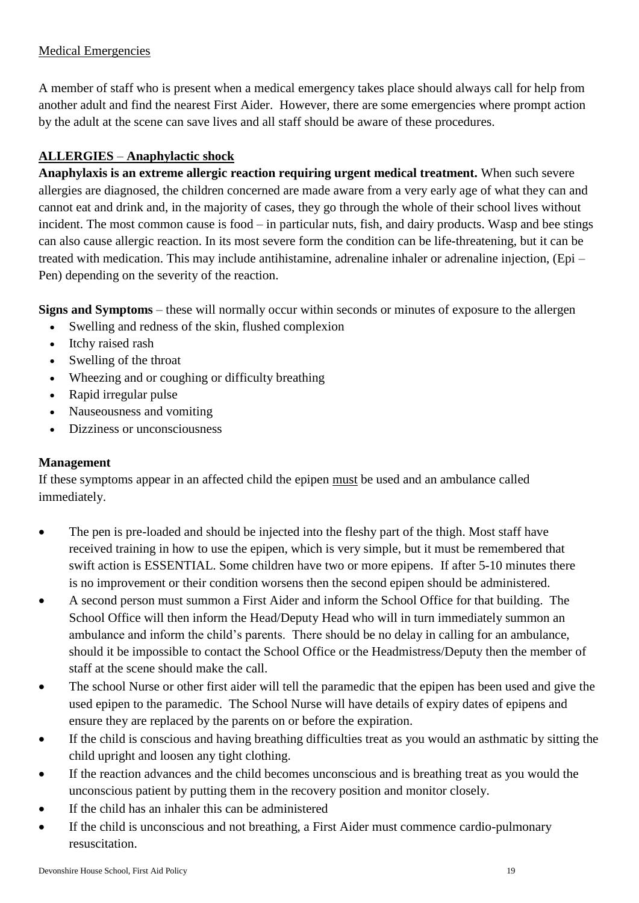## Medical Emergencies

A member of staff who is present when a medical emergency takes place should always call for help from another adult and find the nearest First Aider. However, there are some emergencies where prompt action by the adult at the scene can save lives and all staff should be aware of these procedures.

# **ALLERGIES** – **Anaphylactic shock**

**Anaphylaxis is an extreme allergic reaction requiring urgent medical treatment.** When such severe allergies are diagnosed, the children concerned are made aware from a very early age of what they can and cannot eat and drink and, in the majority of cases, they go through the whole of their school lives without incident. The most common cause is food – in particular nuts, fish, and dairy products. Wasp and bee stings can also cause allergic reaction. In its most severe form the condition can be life-threatening, but it can be treated with medication. This may include antihistamine, adrenaline inhaler or adrenaline injection, (Epi – Pen) depending on the severity of the reaction.

**Signs and Symptoms** – these will normally occur within seconds or minutes of exposure to the allergen

- Swelling and redness of the skin, flushed complexion
- Itchy raised rash
- Swelling of the throat
- Wheezing and or coughing or difficulty breathing
- Rapid irregular pulse
- Nauseousness and vomiting
- Dizziness or unconsciousness

# **Management**

If these symptoms appear in an affected child the epipen must be used and an ambulance called immediately.

- The pen is pre-loaded and should be injected into the fleshy part of the thigh. Most staff have received training in how to use the epipen, which is very simple, but it must be remembered that swift action is ESSENTIAL. Some children have two or more epipens. If after 5-10 minutes there is no improvement or their condition worsens then the second epipen should be administered.
- A second person must summon a First Aider and inform the School Office for that building. The School Office will then inform the Head/Deputy Head who will in turn immediately summon an ambulance and inform the child's parents. There should be no delay in calling for an ambulance, should it be impossible to contact the School Office or the Headmistress/Deputy then the member of staff at the scene should make the call.
- The school Nurse or other first aider will tell the paramedic that the epipen has been used and give the used epipen to the paramedic. The School Nurse will have details of expiry dates of epipens and ensure they are replaced by the parents on or before the expiration.
- If the child is conscious and having breathing difficulties treat as you would an asthmatic by sitting the child upright and loosen any tight clothing.
- If the reaction advances and the child becomes unconscious and is breathing treat as you would the unconscious patient by putting them in the recovery position and monitor closely.
- If the child has an inhaler this can be administered
- If the child is unconscious and not breathing, a First Aider must commence cardio-pulmonary resuscitation.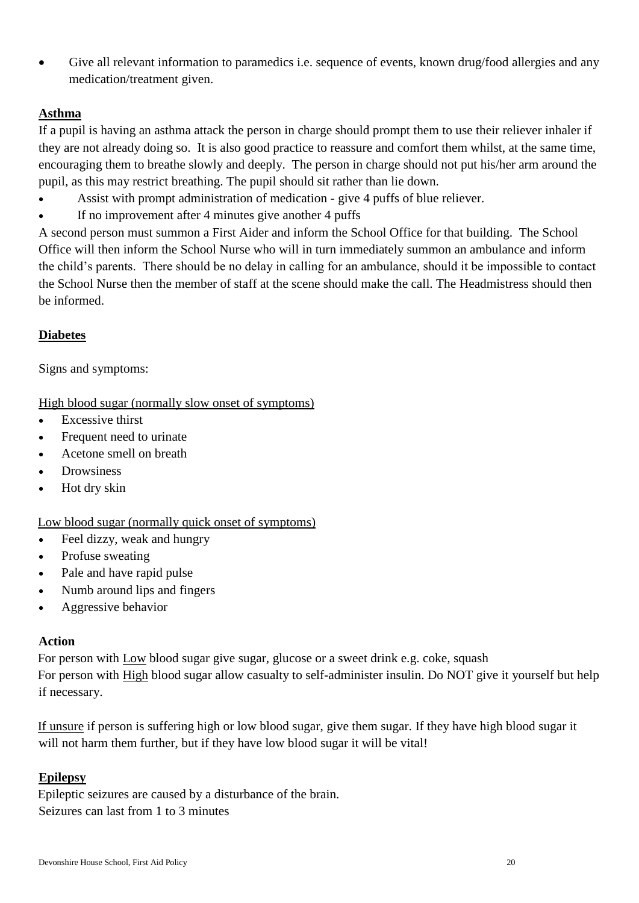Give all relevant information to paramedics i.e. sequence of events, known drug/food allergies and any medication/treatment given.

## **Asthma**

If a pupil is having an asthma attack the person in charge should prompt them to use their reliever inhaler if they are not already doing so. It is also good practice to reassure and comfort them whilst, at the same time, encouraging them to breathe slowly and deeply. The person in charge should not put his/her arm around the pupil, as this may restrict breathing. The pupil should sit rather than lie down.

- Assist with prompt administration of medication give 4 puffs of blue reliever.
- If no improvement after 4 minutes give another 4 puffs

A second person must summon a First Aider and inform the School Office for that building. The School Office will then inform the School Nurse who will in turn immediately summon an ambulance and inform the child's parents. There should be no delay in calling for an ambulance, should it be impossible to contact the School Nurse then the member of staff at the scene should make the call. The Headmistress should then be informed.

## **Diabetes**

Signs and symptoms:

#### High blood sugar (normally slow onset of symptoms)

- Excessive thirst
- Frequent need to urinate
- Acetone smell on breath
- **Drowsiness**
- Hot dry skin

## Low blood sugar (normally quick onset of symptoms)

- Feel dizzy, weak and hungry
- Profuse sweating
- Pale and have rapid pulse
- Numb around lips and fingers
- Aggressive behavior

#### **Action**

For person with Low blood sugar give sugar, glucose or a sweet drink e.g. coke, squash For person with High blood sugar allow casualty to self-administer insulin. Do NOT give it yourself but help if necessary.

If unsure if person is suffering high or low blood sugar, give them sugar. If they have high blood sugar it will not harm them further, but if they have low blood sugar it will be vital!

## **Epilepsy**

Epileptic seizures are caused by a disturbance of the brain. Seizures can last from 1 to 3 minutes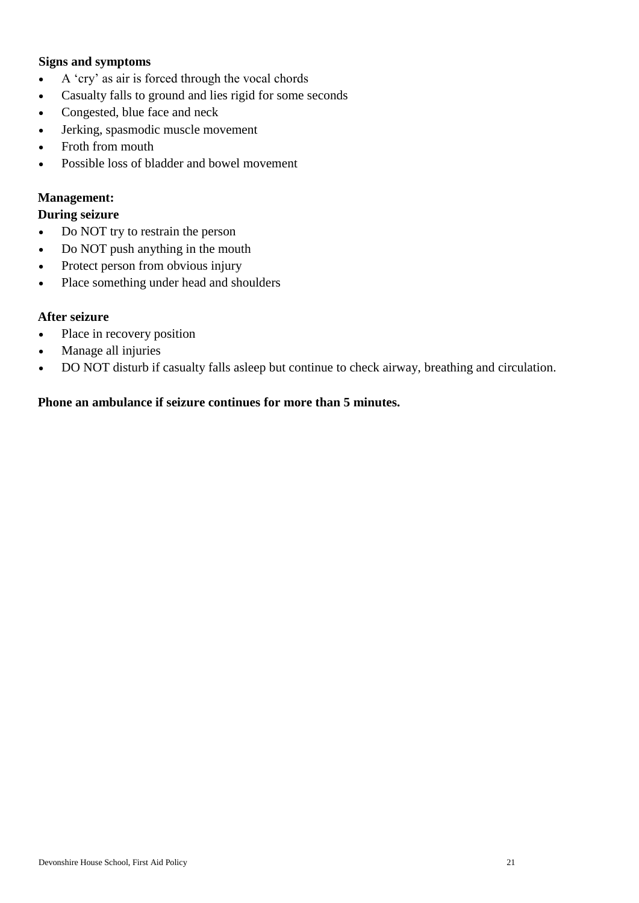#### **Signs and symptoms**

- A 'cry' as air is forced through the vocal chords
- Casualty falls to ground and lies rigid for some seconds
- Congested, blue face and neck
- Jerking, spasmodic muscle movement
- Froth from mouth
- Possible loss of bladder and bowel movement

#### **Management:**

## **During seizure**

- Do NOT try to restrain the person
- Do NOT push anything in the mouth
- Protect person from obvious injury
- Place something under head and shoulders

#### **After seizure**

- Place in recovery position
- Manage all injuries
- DO NOT disturb if casualty falls asleep but continue to check airway, breathing and circulation.

#### **Phone an ambulance if seizure continues for more than 5 minutes.**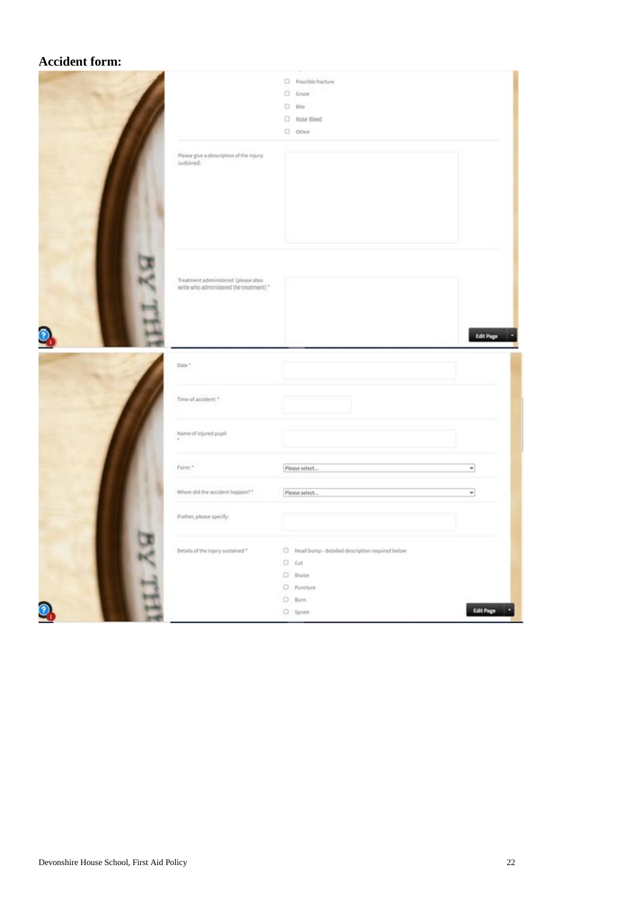#### **Accident form:**

|   | Please give a description of the injury<br>suitained:                           | D Note Bleed<br>C) Other |                          |
|---|---------------------------------------------------------------------------------|--------------------------|--------------------------|
|   |                                                                                 |                          |                          |
| ◉ | Treatment administered: (please also<br>write who administered the treatment)." |                          | Edit Page                |
|   | Date *                                                                          |                          |                          |
|   |                                                                                 |                          |                          |
|   | Time of accident: *                                                             |                          |                          |
|   | Name of injured pupil                                                           |                          |                          |
|   | Form."                                                                          | Please select.           | $\overline{\phantom{0}}$ |
|   | Where did the accident happen? *                                                | Please select            | ₩                        |
|   | If other, please specify:                                                       |                          |                          |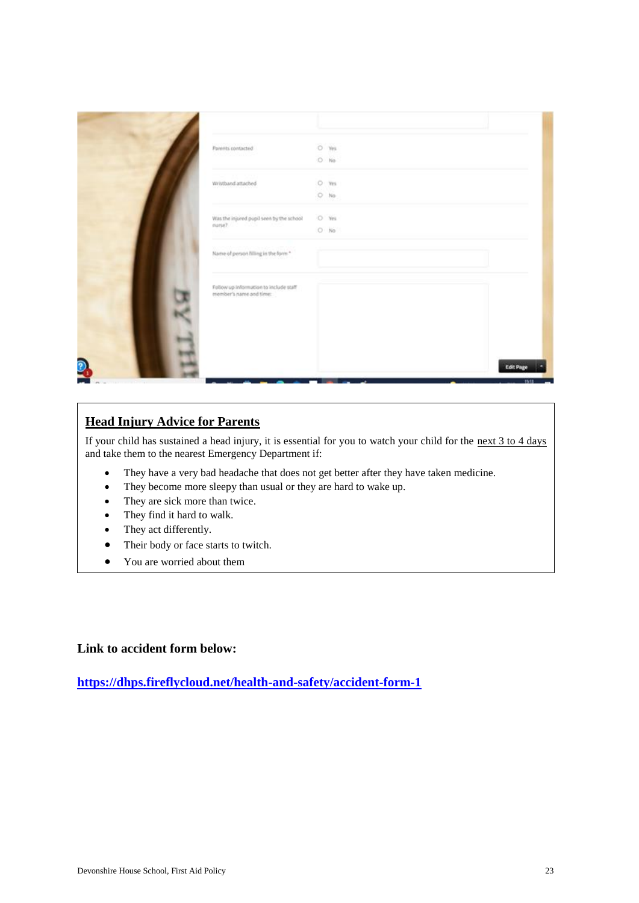|            | Parents contacted                                                 | $O$ Yes<br>$0$ No |                            |
|------------|-------------------------------------------------------------------|-------------------|----------------------------|
|            | Wristband attached                                                | O ms<br>$O$ No    |                            |
|            | Was the injured pupil seen by the school<br>nurse?                | O Yes<br>$O$ No   |                            |
|            | Name of person filling in the form."                              |                   |                            |
|            | Follow up information to include staff<br>member's name and time: |                   |                            |
|            |                                                                   |                   |                            |
| $\partial$ |                                                                   |                   | <b>Edit Page</b><br>15,111 |

# **Head Injury Advice for Parents**

If your child has sustained a head injury, it is essential for you to watch your child for the next 3 to 4 days and take them to the nearest Emergency Department if:

- They have a very bad headache that does not get better after they have taken medicine.
- They become more sleepy than usual or they are hard to wake up.
- They are sick more than twice.
- They find it hard to walk.
- They act differently.
- Their body or face starts to twitch.
- You are worried about them

#### **Link to accident form below:**

**<https://dhps.fireflycloud.net/health-and-safety/accident-form-1>**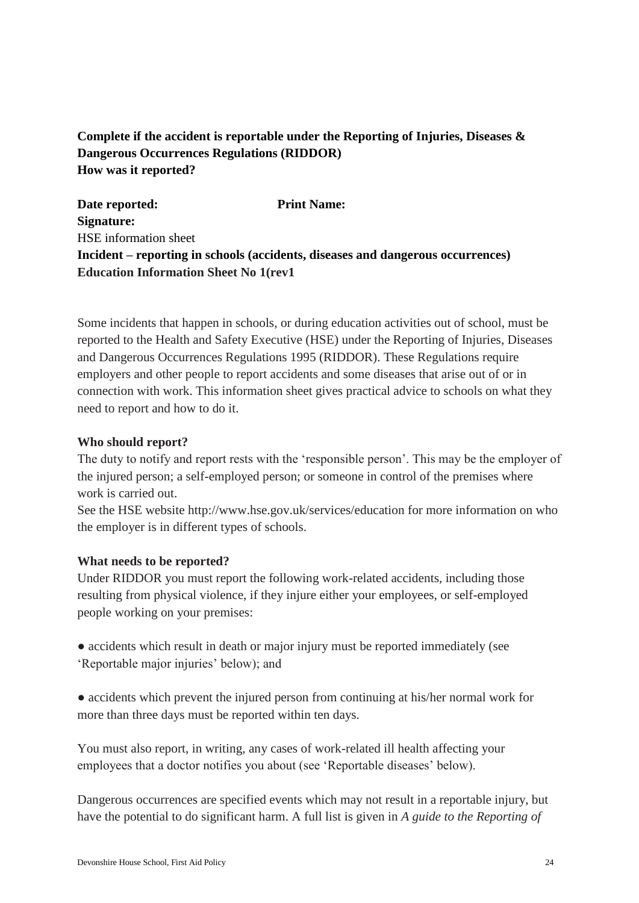# **Complete if the accident is reportable under the Reporting of Injuries, Diseases & Dangerous Occurrences Regulations (RIDDOR) How was it reported?**

**Date reported:** Print Name: **Signature:**  HSE information sheet **Incident – reporting in schools (accidents, diseases and dangerous occurrences) Education Information Sheet No 1(rev1**

Some incidents that happen in schools, or during education activities out of school, must be reported to the Health and Safety Executive (HSE) under the Reporting of Injuries, Diseases and Dangerous Occurrences Regulations 1995 (RIDDOR). These Regulations require employers and other people to report accidents and some diseases that arise out of or in connection with work. This information sheet gives practical advice to schools on what they need to report and how to do it.

#### **Who should report?**

The duty to notify and report rests with the 'responsible person'. This may be the employer of the injured person; a self-employed person; or someone in control of the premises where work is carried out.

See the HSE website http://www.hse.gov.uk/services/education for more information on who the employer is in different types of schools.

#### **What needs to be reported?**

Under RIDDOR you must report the following work-related accidents, including those resulting from physical violence, if they injure either your employees, or self-employed people working on your premises:

- accidents which result in death or major injury must be reported immediately (see 'Reportable major injuries' below); and
- accidents which prevent the injured person from continuing at his/her normal work for more than three days must be reported within ten days.

You must also report, in writing, any cases of work-related ill health affecting your employees that a doctor notifies you about (see 'Reportable diseases' below).

Dangerous occurrences are specified events which may not result in a reportable injury, but have the potential to do significant harm. A full list is given in *A guide to the Reporting of*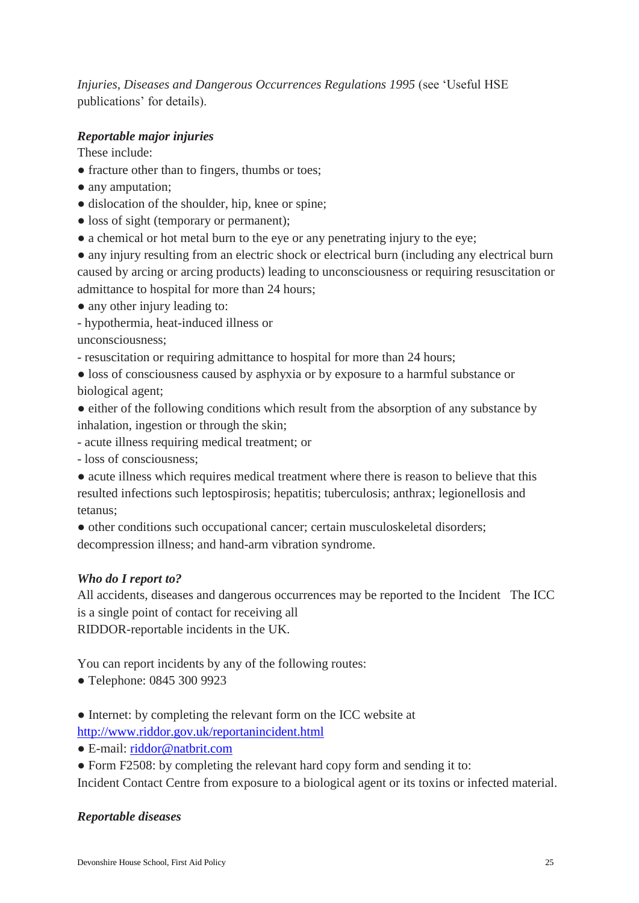*Injuries, Diseases and Dangerous Occurrences Regulations 1995* (see 'Useful HSE publications' for details).

## *Reportable major injuries*

These include:

- fracture other than to fingers, thumbs or toes;
- any amputation;
- dislocation of the shoulder, hip, knee or spine;
- loss of sight (temporary or permanent);
- a chemical or hot metal burn to the eye or any penetrating injury to the eye;

• any injury resulting from an electric shock or electrical burn (including any electrical burn caused by arcing or arcing products) leading to unconsciousness or requiring resuscitation or admittance to hospital for more than 24 hours;

- any other injury leading to:
- hypothermia, heat-induced illness or

unconsciousness;

- resuscitation or requiring admittance to hospital for more than 24 hours;
- loss of consciousness caused by asphyxia or by exposure to a harmful substance or biological agent;
- either of the following conditions which result from the absorption of any substance by inhalation, ingestion or through the skin;
- acute illness requiring medical treatment; or
- loss of consciousness;

● acute illness which requires medical treatment where there is reason to believe that this resulted infections such leptospirosis; hepatitis; tuberculosis; anthrax; legionellosis and tetanus;

● other conditions such occupational cancer; certain musculoskeletal disorders;

decompression illness; and hand-arm vibration syndrome.

## *Who do I report to?*

All accidents, diseases and dangerous occurrences may be reported to the Incident The ICC is a single point of contact for receiving all RIDDOR-reportable incidents in the UK.

You can report incidents by any of the following routes:

- Telephone: 0845 300 9923
- Internet: by completing the relevant form on the ICC website at
- <http://www.riddor.gov.uk/reportanincident.html>
- E-mail: [riddor@natbrit.com](mailto:riddor@natbrit.com)
- Form F2508: by completing the relevant hard copy form and sending it to:

Incident Contact Centre from exposure to a biological agent or its toxins or infected material.

## *Reportable diseases*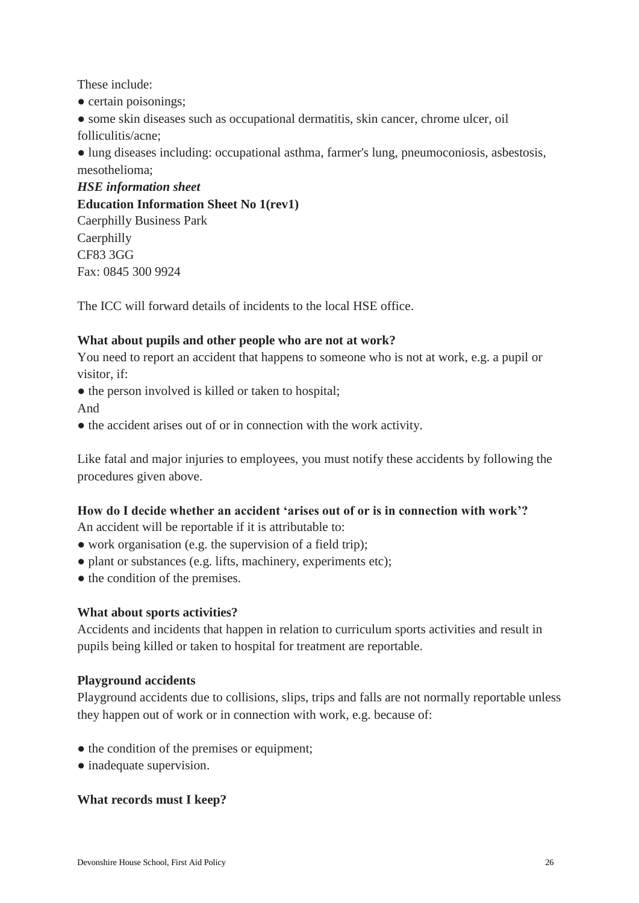These include:

• certain poisonings;

● some skin diseases such as occupational dermatitis, skin cancer, chrome ulcer, oil folliculitis/acne;

● lung diseases including: occupational asthma, farmer's lung, pneumoconiosis, asbestosis, mesothelioma;

*HSE information sheet* **Education Information Sheet No 1(rev1)** Caerphilly Business Park **Caerphilly** CF83 3GG Fax: 0845 300 9924

The ICC will forward details of incidents to the local HSE office.

## **What about pupils and other people who are not at work?**

You need to report an accident that happens to someone who is not at work, e.g. a pupil or visitor, if:

- the person involved is killed or taken to hospital; And
- the accident arises out of or in connection with the work activity.

Like fatal and major injuries to employees, you must notify these accidents by following the procedures given above.

# **How do I decide whether an accident 'arises out of or is in connection with work'?**

An accident will be reportable if it is attributable to:

- work organisation (e.g. the supervision of a field trip);
- plant or substances (e.g. lifts, machinery, experiments etc);
- the condition of the premises.

## **What about sports activities?**

Accidents and incidents that happen in relation to curriculum sports activities and result in pupils being killed or taken to hospital for treatment are reportable.

## **Playground accidents**

Playground accidents due to collisions, slips, trips and falls are not normally reportable unless they happen out of work or in connection with work, e.g. because of:

- the condition of the premises or equipment;
- inadequate supervision.

# **What records must I keep?**